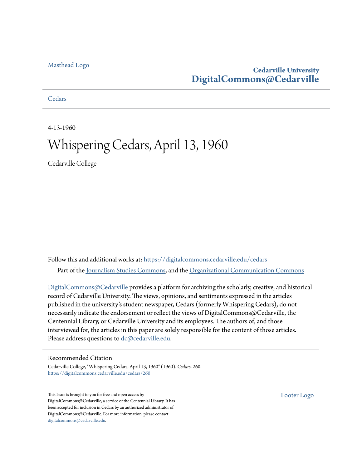#### [Masthead Logo](http://www.cedarville.edu/?utm_source=digitalcommons.cedarville.edu%2Fcedars%2F260&utm_medium=PDF&utm_campaign=PDFCoverPages)

# **Cedarville University [DigitalCommons@Cedarville](https://digitalcommons.cedarville.edu?utm_source=digitalcommons.cedarville.edu%2Fcedars%2F260&utm_medium=PDF&utm_campaign=PDFCoverPages)**

**[Cedars](https://digitalcommons.cedarville.edu/cedars?utm_source=digitalcommons.cedarville.edu%2Fcedars%2F260&utm_medium=PDF&utm_campaign=PDFCoverPages)** 

4-13-1960

# Whispering Cedars, April 13, 1960

Cedarville College

Follow this and additional works at: [https://digitalcommons.cedarville.edu/cedars](https://digitalcommons.cedarville.edu/cedars?utm_source=digitalcommons.cedarville.edu%2Fcedars%2F260&utm_medium=PDF&utm_campaign=PDFCoverPages) Part of the [Journalism Studies Commons](http://network.bepress.com/hgg/discipline/333?utm_source=digitalcommons.cedarville.edu%2Fcedars%2F260&utm_medium=PDF&utm_campaign=PDFCoverPages), and the [Organizational Communication Commons](http://network.bepress.com/hgg/discipline/335?utm_source=digitalcommons.cedarville.edu%2Fcedars%2F260&utm_medium=PDF&utm_campaign=PDFCoverPages)

[DigitalCommons@Cedarville](http://digitalcommons.cedarville.edu/) provides a platform for archiving the scholarly, creative, and historical record of Cedarville University. The views, opinions, and sentiments expressed in the articles published in the university's student newspaper, Cedars (formerly Whispering Cedars), do not necessarily indicate the endorsement or reflect the views of DigitalCommons@Cedarville, the Centennial Library, or Cedarville University and its employees. The authors of, and those interviewed for, the articles in this paper are solely responsible for the content of those articles. Please address questions to [dc@cedarville.edu.](mailto:dc@cedarville.edu)

#### Recommended Citation

Cedarville College, "Whispering Cedars, April 13, 1960" (1960). *Cedars*. 260. [https://digitalcommons.cedarville.edu/cedars/260](https://digitalcommons.cedarville.edu/cedars/260?utm_source=digitalcommons.cedarville.edu%2Fcedars%2F260&utm_medium=PDF&utm_campaign=PDFCoverPages)

This Issue is brought to you for free and open access by DigitalCommons@Cedarville, a service of the Centennial Library. It has been accepted for inclusion in Cedars by an authorized administrator of DigitalCommons@Cedarville. For more information, please contact [digitalcommons@cedarville.edu](mailto:digitalcommons@cedarville.edu).

[Footer Logo](http://www.cedarville.edu/Academics/Library.aspx?utm_source=digitalcommons.cedarville.edu%2Fcedars%2F260&utm_medium=PDF&utm_campaign=PDFCoverPages)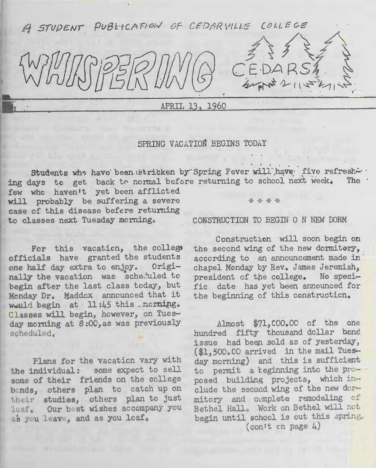A STUDENT PUBLICATION OF CEDARVILLE COLLEGE

APRIL 13, 1960

### SPRING VACATION BEGINS TODAY

Students who have been stricken by Spring Fever will have five refresh... ing days to get back to normal before returning to school next week.

few who haven't yet been afflicted will probably be suffering a severe  $* * * *$ case of this disease befcre returning to classes next Tuesday morning. CONSTRUCTION TO BEGIN ON NEW DORM

For this vacation, the college officials have granted the students one half day extra to enjoy. Origi-1 uled to begin after the last class today, but Monday Dr. Maddox announced that it wauld begin at  $11:45$  this . norning. Classes will begin, however, on Tuesday morning at 8:00, as was previously scheduled.,

Plans for the vacaticn vary with the individual: some expect to sell some of their friends on the college bends, others plan to catch up on their studies, others plan to just loaf. Our best wishes accompany you as you leave, and as you loaf.

• • .. • ' • l

j) f\~4\

CE·DA *RSI.* ~

 $44747211472172$ 

. .  $\mathbf{r}$ 

Construction will soon begin on the second wing of the new dormitory, according to an announcement made in chapel Monday by Rev. James Jeremiah, president of the college. No specific date has yet been announced for the beginning of this construction.

Almost \$71,000.00 of the one hundred fifty thousand dollar bond issue had beep .sold as of yesterday, (\$1,500.00 arrived in the mail Tuesday morning) and this is sufficient to permit a reginning into the proposed building projects, which include the second wing of the new dormitory and complete remodeling of Bethel Hall. Work on Bethel will not begin until school is out this spring. (con't cn page  $4$ )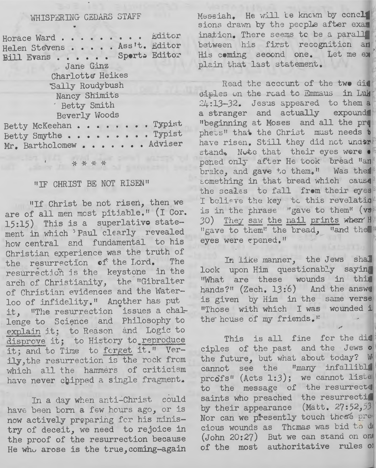# WHISPERING CEDARS STAFF

| Horace Ward<br>Helen Stevens Ass't. Editor<br>Bill Evans Sports Editor | Editor |
|------------------------------------------------------------------------|--------|
| Jane Ginz                                                              |        |
| Charlotte Heikes                                                       |        |
| Sally Roudybush                                                        |        |
| Nancy Shimits                                                          |        |
| Betty Smith                                                            |        |
| Beverly Woods                                                          |        |
| Betty McKeehan Typist                                                  |        |
| Betty Smythe Typist                                                    |        |
| Mr. Bartholomew Adviser                                                |        |
|                                                                        |        |

\* \* \* \*

#### "IF CHRIST BE NOT RISEN"

"If Christ be not risen, then we are of all men most pitiable." (I Cor. 15:15) This is a superlative statement in which 'Paul clearly revealed how central and fundamental to his Christian experience was the truth of the resurrection of the Lord. The resurrection is the keystone in the arch of Christianity, the "Gibralter of Christian evidences and the Waterloo of infidelity." Another has put it, "The resurrection issues a challenge to Science and Philosophy to explain it; to Reason and Logic to disprove it; to History to reproduce it; and to Time to forget it." Verily, the resurrection is the rock from which all the hammers of criticism have never chipped a single fragment.

In a day when anti-Christ could have been born a few hours ago, or is now actively preparing for his ministry of deceit, we need to rejoice in the proof of the resurrection because He who arose is the true, coming-again Messiah. He will te known by concli sions drawn by the people after exam ination. There seems to be a paralli between his first recognition an His coming second one. Let me ex plain that last statement.

Read the account of the two did siples on the road to Emmaus in Luk  $24:13-32$ . Jesus appeared to them a a stranger and actually expound "beginning at Moses and all the pro phets" that the Christ must needs t have risen. Still they did not under stand. Note that their eyes were pened only after He took bread "an brake, and gave to them." Was the something in that bread which cause the scales to fall from their eyes I believe the key to this revelation is in the thrase "gave to them" (vs 30) They saw the nail prints when H "gave to them" the bread, "and the eyes were epened."

In like manner, the Jews shall look upon Him questionably saying "What are these wounds in this hands?" (Zech. 13:6) And the answe is given by Him in the same verse "Those with which I was wounded i the house of my friends."

This is all fine for the dis ciples of the past and the Jews o the future, but what about today? W cannot see the "many infallible proofs" (Acts 1:3); we cannot liste to the message of the resurrecte saints who preached the resurrection by their appearance (Matt. 27:52,53) Nor can we presently touch those precious wounds as Thomas was bid to do (John 20:27) But we can stand on one of the most authoritative rules of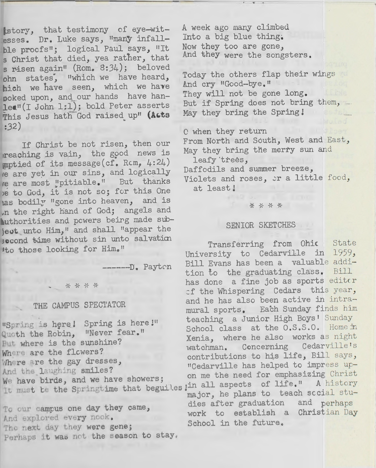istory, that testimony of eye-witesses. Dr. Luke says, "many infallble procfs"; logical Paul says, "It s Christ that died, yea rather, that s risen again" (Rom. 8:34); beloved ohn states, "which we have heard, hich we have seen, which we have poked upon, and our hands have hanlea" (I John 1;1); bold Peter asserts This Jesus hath God raised up" (Acts  $:32)$ 

If Christ be not risen, then our reaching is vain, the good news is mptied of its message(cf. Rcm, 4:24) re are yet in our sins, and logically re are most "pitiable." But thanks<br>be to God, it is not so; for this One has bodily "gone into heaven, and is In the right hand of God; angels and authorities and powers being made subject unto Him," and shall "appear the socond time without sin unto salvation 'to those looking for Him."

------ D. Payton

\* \* \* \*

# THE CAMPUS SPECTATOR

"Spring is here! Spring is here!" Quoth the Robin, "Never fear." But where is the sunshine? Where are the flowers? Where are the gay dresses, And the laughing smiles? We have birds, and we have showers;

To our campus one day they came, And explored every nook. The next day they were gene; Perhaps it was not the season to stay.

A week ago many climbed Into a big blue thing: Now they too are gone, And they were the songsters.

Today the others flap their wings And cry "Good-bye." They will not be gone long. But if Spring does not bring them, -May they bring the Spring!

C when they return

From North and South, West and East, May they bring the merry sun and leafy trees,

Daffodils and summer breeze, Violets and roses, or a little food, at least!

\* \* \* \* \*

#### SENIOR SKETCHES

Transferring from Ohic State University to Cedarville in 1959, Bill Evans has been a valuable addition to the graduating class. Bill has done a fine job as sports editor of the Whispering Cedars this year, and he has also been active in intramural sports. Each Sunday finds him teaching a Junior High Boys' Sunday School class at the 0.S.S.O. Home in Xenia, where he also works as night Cedarville's watchman. Concerning contributions to his life, Bill says, "Cedarville has helped to impress upon me the need for emphasizing Christ It must be the Springtime that beguiles in all aspects of life." A history major, he plans to teach social studies after graduation and perhaps work to establish a Christian Day School in the future.